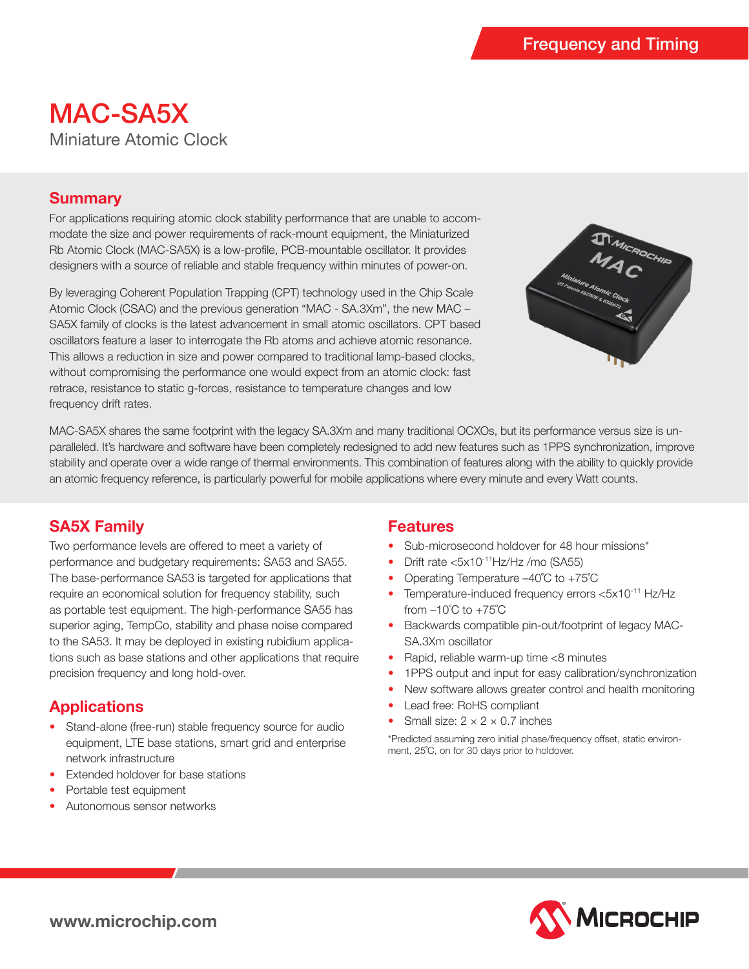# MAC-SA5X Miniature Atomic Clock

### **Summary**

For applications requiring atomic clock stability performance that are unable to accommodate the size and power requirements of rack-mount equipment, the Miniaturized Rb Atomic Clock (MAC-SA5X) is a low-profile, PCB-mountable oscillator. It provides designers with a source of reliable and stable frequency within minutes of power-on.

By leveraging Coherent Population Trapping (CPT) technology used in the Chip Scale Atomic Clock (CSAC) and the previous generation "MAC - SA.3Xm", the new MAC – SA5X family of clocks is the latest advancement in small atomic oscillators. CPT based oscillators feature a laser to interrogate the Rb atoms and achieve atomic resonance. This allows a reduction in size and power compared to traditional lamp-based clocks, without compromising the performance one would expect from an atomic clock: fast retrace, resistance to static g-forces, resistance to temperature changes and low frequency drift rates.



MAC-SA5X shares the same footprint with the legacy SA.3Xm and many traditional OCXOs, but its performance versus size is unparalleled. It's hardware and software have been completely redesigned to add new features such as 1PPS synchronization, improve stability and operate over a wide range of thermal environments. This combination of features along with the ability to quickly provide an atomic frequency reference, is particularly powerful for mobile applications where every minute and every Watt counts.

# **SA5X Family**

Two performance levels are offered to meet a variety of performance and budgetary requirements: SA53 and SA55. The base-performance SA53 is targeted for applications that require an economical solution for frequency stability, such as portable test equipment. The high-performance SA55 has superior aging, TempCo, stability and phase noise compared to the SA53. It may be deployed in existing rubidium applications such as base stations and other applications that require precision frequency and long hold-over.

# **Applications**

- Stand-alone (free-run) stable frequency source for audio equipment, LTE base stations, smart grid and enterprise network infrastructure
- Extended holdover for base stations
- Portable test equipment
- Autonomous sensor networks

### **Features**

- Sub-microsecond holdover for 48 hour missions\*
- Drift rate  $< 5x10^{-11}$ Hz/Hz /mo (SA55)
- Operating Temperature –40°C to +75°C
- Temperature-induced frequency errors <5x10<sup>-11</sup> Hz/Hz from  $-10^{\circ}$ C to  $+75^{\circ}$ C
- Backwards compatible pin-out/footprint of legacy MAC-SA.3Xm oscillator
- Rapid, reliable warm-up time <8 minutes
- 1PPS output and input for easy calibration/synchronization
- New software allows greater control and health monitoring
- Lead free: RoHS compliant
- Small size:  $2 \times 2 \times 0.7$  inches

\*Predicted assuming zero initial phase/frequency offset, static environment, 25˚C, on for 30 days prior to holdover.



**www.microchip.com**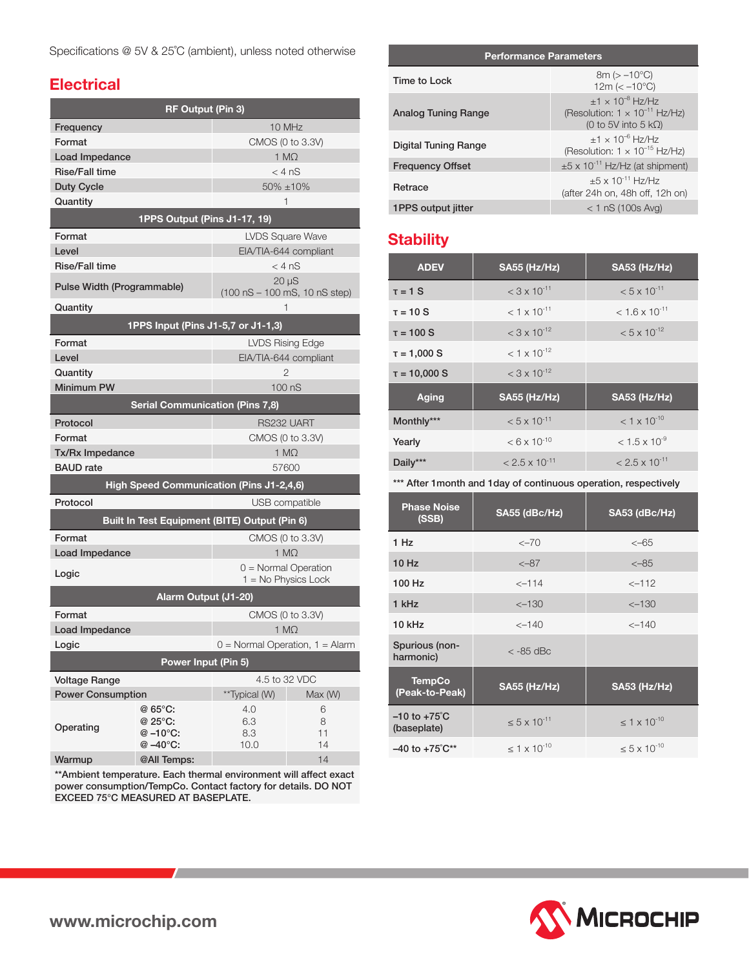### **Electrical**

| <b>RF Output (Pin 3)</b>                                 |                                    |                                     |                                               |
|----------------------------------------------------------|------------------------------------|-------------------------------------|-----------------------------------------------|
| Frequency                                                |                                    |                                     | 10 MHz                                        |
| Format                                                   |                                    |                                     | CMOS (0 to 3.3V)                              |
| Load Impedance                                           |                                    |                                     | $1 M\Omega$                                   |
| <b>Rise/Fall time</b>                                    |                                    |                                     | $<$ 4 nS                                      |
| <b>Duty Cycle</b>                                        |                                    |                                     | 50% ±10%                                      |
| Quantity                                                 |                                    |                                     | 1                                             |
|                                                          | 1PPS Output (Pins J1-17, 19)       |                                     |                                               |
| Format                                                   |                                    |                                     | <b>LVDS Square Wave</b>                       |
| Level                                                    |                                    |                                     | EIA/TIA-644 compliant                         |
| <b>Rise/Fall time</b>                                    |                                    |                                     | $<$ 4 nS                                      |
| Pulse Width (Programmable)                               |                                    |                                     | $20 \mu S$<br>$(100 nS - 100 mS, 10 nS step)$ |
| Quantity                                                 |                                    |                                     | 1                                             |
|                                                          | 1PPS Input (Pins J1-5,7 or J1-1,3) |                                     |                                               |
| Format                                                   |                                    |                                     | <b>LVDS Rising Edge</b>                       |
| Level                                                    |                                    |                                     | EIA/TIA-644 compliant                         |
| Quantity                                                 |                                    |                                     | 2                                             |
| Minimum PW                                               |                                    | 100 <sub>ns</sub>                   |                                               |
| <b>Serial Communication (Pins 7,8)</b>                   |                                    |                                     |                                               |
| Protocol                                                 |                                    |                                     | RS232 UART                                    |
| Format                                                   |                                    | CMOS (0 to 3.3V)                    |                                               |
| Tx/Rx Impedance                                          |                                    | $1 M\Omega$                         |                                               |
| <b>BAUD</b> rate                                         |                                    |                                     | 57600                                         |
| <b>High Speed Communication (Pins J1-2,4,6)</b>          |                                    |                                     |                                               |
| Protocol<br>USB compatible                               |                                    |                                     |                                               |
| Built In Test Equipment (BITE) Output (Pin 6)            |                                    |                                     |                                               |
| Format                                                   |                                    | CMOS (0 to 3.3V)                    |                                               |
| Load Impedance                                           |                                    | $1 M\Omega$                         |                                               |
| $0 =$ Normal Operation<br>Logic<br>$1 = No Physics Lock$ |                                    |                                     |                                               |
| Alarm Output (J1-20)                                     |                                    |                                     |                                               |
| Format                                                   |                                    | CMOS (0 to 3.3V)                    |                                               |
| Load Impedance                                           |                                    | $1 M\Omega$                         |                                               |
| Logic                                                    |                                    | $0 =$ Normal Operation, $1 =$ Alarm |                                               |
| Power Input (Pin 5)                                      |                                    |                                     |                                               |
| <b>Voltage Range</b>                                     |                                    |                                     | 4.5 to 32 VDC                                 |
| <b>Power Consumption</b>                                 |                                    | **Typical (W)                       | Max (W)                                       |
|                                                          | @ 65°C:                            | 4.0                                 | 6                                             |
| Operating                                                | @ 25°C:                            | 6.3                                 | 8                                             |
|                                                          | $@ -10°C:$<br>@ -40°C:             | 8.3<br>10.0                         | 11<br>14                                      |
| Warmup                                                   | @All Temps:                        |                                     | 14                                            |

\*\*Ambient temperature. Each thermal environment will affect exact power consumption/TempCo. Contact factory for details. DO NOT EXCEED 75°C MEASURED AT BASEPLATE.

#### **Performance Parameters**

| Time to Lock            | $8m > -10°C$<br>$12m \ ( < -10^{\circ}C)$                                                           |
|-------------------------|-----------------------------------------------------------------------------------------------------|
| Analog Tuning Range     | $+1 \times 10^{-8}$ Hz/Hz<br>(Resolution: $1 \times 10^{-11}$ Hz/Hz)<br>(0 to 5V into 5 $k\Omega$ ) |
| Digital Tuning Range    | $+1 \times 10^{-6}$ Hz/Hz<br>(Resolution: $1 \times 10^{-15}$ Hz/Hz)                                |
| <b>Frequency Offset</b> | $\pm 5 \times 10^{-11}$ Hz/Hz (at shipment)                                                         |
| Retrace                 | $+5 \times 10^{-11}$ Hz/Hz<br>(after 24h on, 48h off, 12h on)                                       |
| 1PPS output jitter      | $< 1$ nS (100s Avg)                                                                                 |

# **Stability**

| <b>ADEV</b>       | <b>SA55 (Hz/Hz)</b>       | <b>SA53 (Hz/Hz)</b>         |
|-------------------|---------------------------|-----------------------------|
| $\tau = 1$ S      | $<$ 3 x 10 <sup>-11</sup> | $< 5 \times 10^{-11}$       |
| $\tau = 10$ S     | $< 1 \times 10^{-11}$     | $<$ 1.6 x 10 <sup>-11</sup> |
| $T = 100 S$       | $<$ 3 x 10 <sup>-12</sup> | $< 5 \times 10^{-12}$       |
| $\tau = 1,000$ S  | $< 1 \times 10^{-12}$     |                             |
| $\tau = 10,000$ S | $<$ 3 x 10 <sup>-12</sup> |                             |
| Aging             | <b>SA55 (Hz/Hz)</b>       | <b>SA53 (Hz/Hz)</b>         |
| Monthly***        | $< 5 \times 10^{-11}$     | $< 1 \times 10^{-10}$       |
| Yearly            | $< 6 \times 10^{-10}$     | $< 1.5 \times 10^{-9}$      |
| Daily***          | $< 2.5 \times 10^{-11}$   | $< 2.5 \times 10^{-11}$     |

#### \*\*\* After 1 month and 1 day of continuous operation, respectively

| <b>Phase Noise</b><br>(SSB)             | SA55 (dBc/Hz)            | SA53 (dBc/Hz)            |
|-----------------------------------------|--------------------------|--------------------------|
| 1 Hz                                    | $<-70$                   | $<-65$                   |
| 10 Hz                                   | $< -87$                  | $< -85$                  |
| 100 Hz                                  | $<-114$                  | $<-112$                  |
| 1 kHz                                   | $<-130$                  | $< -130$                 |
| $10$ kHz                                | $<-140$                  | $<-140$                  |
| Spurious (non-<br>harmonic)             | $<$ -85 dBc              |                          |
| <b>TempCo</b><br>(Peak-to-Peak)         | <b>SA55 (Hz/Hz)</b>      | <b>SA53 (Hz/Hz)</b>      |
| $-10$ to $+75^{\circ}$ C<br>(baseplate) | $< 5 \times 10^{-11}$    | $\leq 1 \times 10^{-10}$ |
| $-40$ to $+75^{\circ}$ C**              | $\leq 1 \times 10^{-10}$ | $\leq 5 \times 10^{-10}$ |

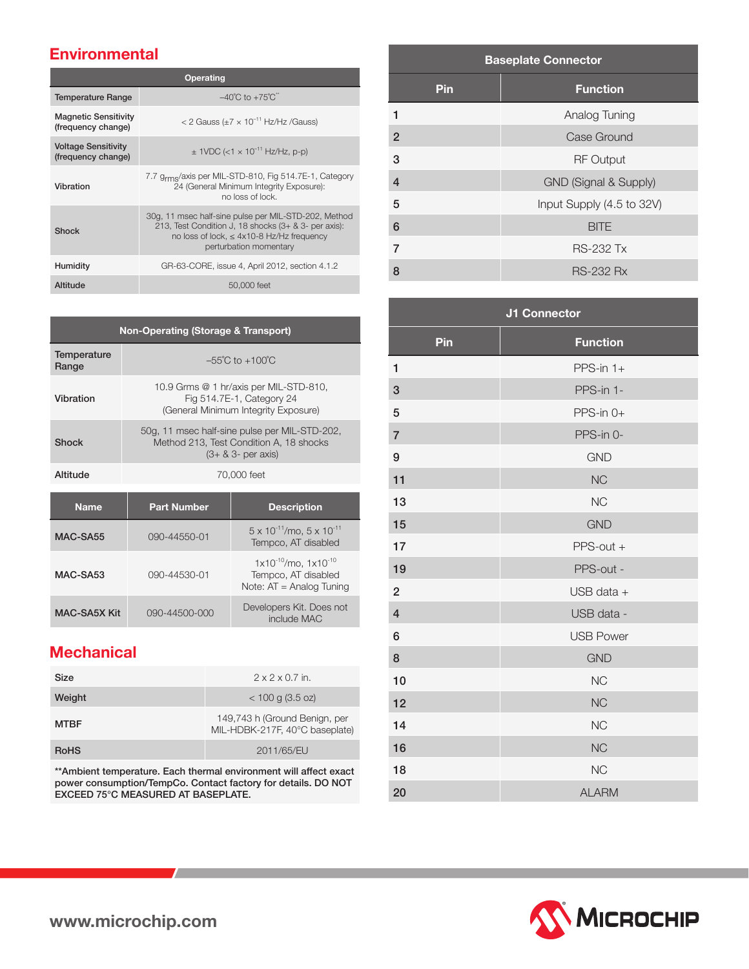### **Environmental**

| <b>Operating</b>                                  |                                                                                                                                                                                          |  |
|---------------------------------------------------|------------------------------------------------------------------------------------------------------------------------------------------------------------------------------------------|--|
| <b>Temperature Range</b>                          | $-40^{\circ}$ C to $+75^{\circ}$ C <sup>"</sup>                                                                                                                                          |  |
| <b>Magnetic Sensitivity</b><br>(frequency change) | < 2 Gauss ( $\pm$ 7 × 10 <sup>-11</sup> Hz/Hz /Gauss)                                                                                                                                    |  |
| <b>Voltage Sensitivity</b><br>(frequency change)  | $\pm$ 1VDC (<1 $\times$ 10 <sup>-11</sup> Hz/Hz, p-p)                                                                                                                                    |  |
| Vibration                                         | 7.7 g <sub>rms</sub> /axis per MIL-STD-810, Fig 514.7E-1, Category<br>24 (General Minimum Integrity Exposure):<br>no loss of lock.                                                       |  |
| <b>Shock</b>                                      | 30g, 11 msec half-sine pulse per MIL-STD-202, Method<br>213, Test Condition J, 18 shocks (3+ & 3- per axis):<br>no loss of lock, $\leq 4x10-8$ Hz/Hz frequency<br>perturbation momentary |  |
| Humidity                                          | GR-63-CORE, issue 4, April 2012, section 4.1.2                                                                                                                                           |  |
| Altitude                                          | 50,000 feet                                                                                                                                                                              |  |

| <b>Non-Operating (Storage &amp; Transport)</b> |                                                                                                                    |                                     |
|------------------------------------------------|--------------------------------------------------------------------------------------------------------------------|-------------------------------------|
| Temperature<br>Range                           |                                                                                                                    | $-55^{\circ}$ C to $+100^{\circ}$ C |
| Vibration                                      | 10.9 Grms @ 1 hr/axis per MIL-STD-810,<br>Fig 514.7E-1, Category 24<br>(General Minimum Integrity Exposure)        |                                     |
| Shock                                          | 50g, 11 msec half-sine pulse per MIL-STD-202.<br>Method 213, Test Condition A, 18 shocks<br>$(3 + 8.3 - per axis)$ |                                     |
| Altitude                                       | 70,000 feet                                                                                                        |                                     |
| Name                                           | <b>Part Number</b>                                                                                                 | <b>Description</b>                  |

| MAC-SA55     | 090-44550-01  | $5 \times 10^{-11}$ /mo, $5 \times 10^{-11}$<br>Tempco, AT disabled                 |
|--------------|---------------|-------------------------------------------------------------------------------------|
| MAC-SA53     | 090-44530-01  | $1x10^{-10}$ /mo, $1x10^{-10}$<br>Tempco, AT disabled<br>Note: $AT =$ Analog Tuning |
| MAC-SA5X Kit | 090-44500-000 | Developers Kit. Does not<br>include MAC                                             |

## **Mechanical**

| Size        | $2 \times 2 \times 0.7$ in.                                     |
|-------------|-----------------------------------------------------------------|
| Weight      | $<$ 100 g (3.5 oz)                                              |
| <b>MTBF</b> | 149,743 h (Ground Benign, per<br>MIL-HDBK-217F, 40°C baseplate) |
| <b>RoHS</b> | 2011/65/EU                                                      |

\*\*Ambient temperature. Each thermal environment will affect exact power consumption/TempCo. Contact factory for details. DO NOT EXCEED 75°C MEASURED AT BASEPLATE.

| <b>Baseplate Connector</b> |                           |  |
|----------------------------|---------------------------|--|
| Pin                        | <b>Function</b>           |  |
| 1                          | Analog Tuning             |  |
| $\overline{2}$             | Case Ground               |  |
| 3                          | <b>RF Output</b>          |  |
| $\overline{4}$             | GND (Signal & Supply)     |  |
| 5                          | Input Supply (4.5 to 32V) |  |
| 6                          | <b>BITE</b>               |  |
| $\overline{7}$             | <b>RS-232 Tx</b>          |  |
| 8                          | <b>RS-232 Rx</b>          |  |

|                | <b>J1 Connector</b> |
|----------------|---------------------|
| Pin            | <b>Function</b>     |
| 1              | PPS-in $1+$         |
| $\mathbf{3}$   | PPS-in 1-           |
| 5              | $PPS-in 0+$         |
| $\overline{7}$ | PPS-in 0-           |
| 9              | <b>GND</b>          |
| 11             | <b>NC</b>           |
| 13             | <b>NC</b>           |
| 15             | <b>GND</b>          |
| 17             | $PPS$ -out +        |
| 19             | PPS-out -           |
| $\overline{2}$ | USB data +          |
| $\overline{4}$ | USB data -          |
| 6              | <b>USB Power</b>    |
| 8              | <b>GND</b>          |
| 10             | <b>NC</b>           |
| 12             | <b>NC</b>           |
| 14             | <b>NC</b>           |
| 16             | <b>NC</b>           |
| 18             | <b>NC</b>           |
| 20             | <b>ALARM</b>        |